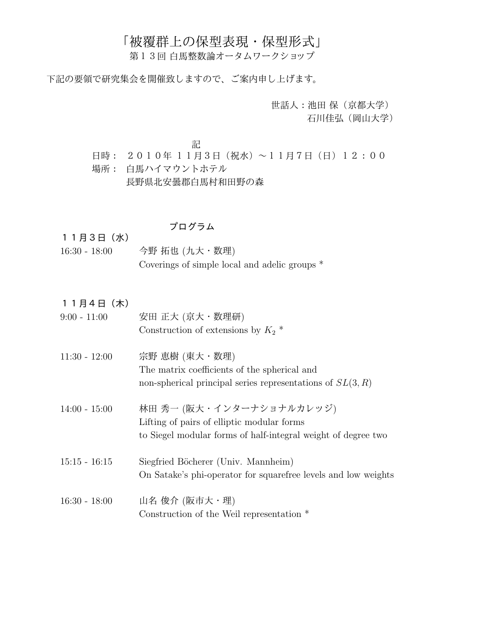## 「被覆群上の保型表現・保型形式」

第13回 白馬整数論オータムワークショップ

下記の要領で研究集会を開催致しますので、ご案内申し上げます。

世話人:池田 保(京都大学) 石川佳弘(岡山大学)

記

- 日時: 2010年 11月3日(祝水)~11月7日(日)12:00
- 場所: 白馬ハイマウントホテル

長野県北安曇郡白馬村和田野の森

## プログラム

11月3日(水)

- 16:30 18:00 今野 拓也 (九大·数理) Coverings of simple local and adelic groups \*
- 11月4日(木) 9:00 - 11:00 安田 正大 (京大・数理研)

| v.vv 11.vv    | $X \mapsto$ 44.75 (45.75 %) $X \in \mathbb{R}$   |
|---------------|--------------------------------------------------|
|               | Construction of extensions by $K_2$ <sup>*</sup> |
| 11:30 - 12:00 | 宗野 恵樹 (東大・数理)                                    |
|               | The matrix coefficients of the spherical and     |

- non-spherical principal series representations of  $SL(3, R)$
- 14:00 15:00 林田 秀一 (阪大・インターナショナルカレッジ) Lifting of pairs of elliptic modular forms to Siegel modular forms of half-integral weight of degree two
- 15:15 16:15 Siegfried Böcherer (Univ. Mannheim) On Satake's phi-operator for squarefree levels and low weights
- 16:30 18:00 山名 俊介 (阪市大・理) Construction of the Weil representation \*